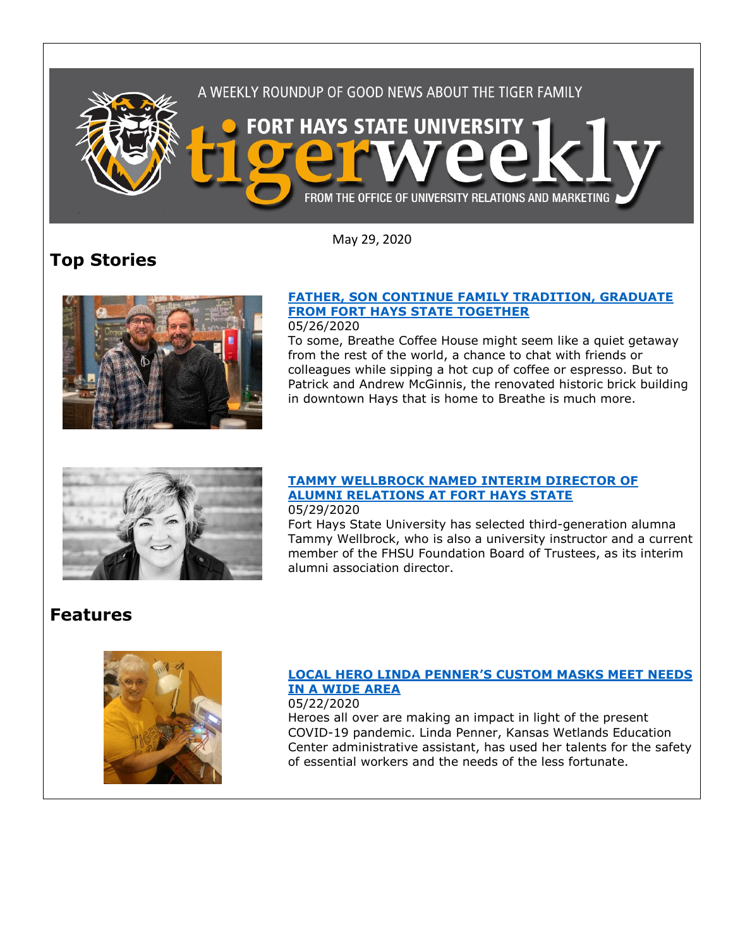

May 29, 2020

# **Top Stories**



## 05/26/2020

To some, Breathe Coffee House might seem like a quiet getaway from the rest of the world, a chance to chat with friends or colleagues while sipping a hot cup of coffee or espresso. But to Patrick and Andrew McGinnis, the renovated historic brick building in downtown Hays that is home to Breathe is much more.



#### **TAMMY [WELLBROCK NAMED INTERIM DIRECTOR OF](https://www.fhsu.edu/news/2020/05/tammy-wellbrock-named-interim-director-of-alumni-relations-at-fort-hays-state)  [ALUMNI RELATIONS AT FORT HAYS STATE](https://www.fhsu.edu/news/2020/05/tammy-wellbrock-named-interim-director-of-alumni-relations-at-fort-hays-state)** 05/29/2020

Fort Hays State University has selected third-generation alumna Tammy Wellbrock, who is also a university instructor and a current member of the FHSU Foundation Board of Trustees, as its interim alumni association director.

## **Features**



#### **LOCAL HERO LINDA PENNER['S CUSTOM MASKS MEET NEEDS](https://www.fhsu.edu/news/2020/05/local-hero-linda-penners-custom-masks-meet-needs-in-a-wide-area)  [IN A WIDE AREA](https://www.fhsu.edu/news/2020/05/local-hero-linda-penners-custom-masks-meet-needs-in-a-wide-area)** 05/22/2020

Heroes all over are making an impact in light of the present COVID-19 pandemic. Linda Penner, Kansas Wetlands Education Center administrative assistant, has used her talents for the safety of essential workers and the needs of the less fortunate.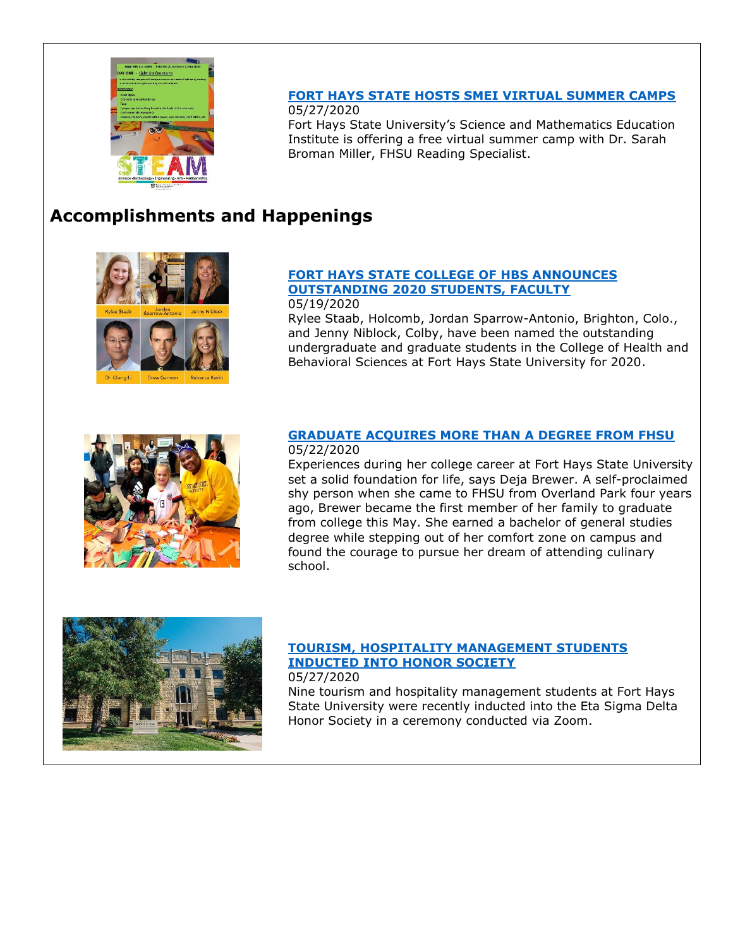

### **FORT [HAYS STATE HOSTS SMEI VIRTUAL SUMMER CAMPS](https://www.fhsu.edu/news/2020/05/fort-hays-state-hosts-smei-virtual-summer-camps)** 05/27/2020

Fort Hays State University's Science and Mathematics Education Institute is offering a free virtual summer camp with Dr. Sarah Broman Miller, FHSU Reading Specialist.

## **Accomplishments and Happenings**



### **[FORT HAYS STATE COLLEGE OF HBS ANNOUNCES](https://www.fhsu.edu/news/2020/05/fort-hays-state-college-of-hbs-announces-outstanding-2020-students,-faculty)  [OUTSTANDING 2020 STUDENTS, FACULTY](https://www.fhsu.edu/news/2020/05/fort-hays-state-college-of-hbs-announces-outstanding-2020-students,-faculty)** 05/19/2020

Rylee Staab, Holcomb, Jordan Sparrow-Antonio, Brighton, Colo., and Jenny Niblock, Colby, have been named the outstanding undergraduate and graduate students in the College of Health and Behavioral Sciences at Fort Hays State University for 2020.



### **[GRADUATE ACQUIRES MORE THAN A DEGREE FROM FHSU](https://www.fhsu.edu/news/2020/05/graduate-acquires-more-than-a-degree-from-fhsu)** 05/22/2020

Experiences during her college career at Fort Hays State University set a solid foundation for life, says Deja Brewer. A self-proclaimed shy person when she came to FHSU from Overland Park four years ago, Brewer became the first member of her family to graduate from college this May. She earned a bachelor of general studies degree while stepping out of her comfort zone on campus and found the courage to pursue her dream of attending culinary school.



## **[TOURISM, HOSPITALITY MANAGEMENT STUDENTS](https://www.fhsu.edu/news/2020/05/tourism,-hospitality-management-students-inducted-into-honor-society)  [INDUCTED INTO HONOR SOCIETY](https://www.fhsu.edu/news/2020/05/tourism,-hospitality-management-students-inducted-into-honor-society)**

05/27/2020

Nine tourism and hospitality management students at Fort Hays State University were recently inducted into the Eta Sigma Delta Honor Society in a ceremony conducted via Zoom.